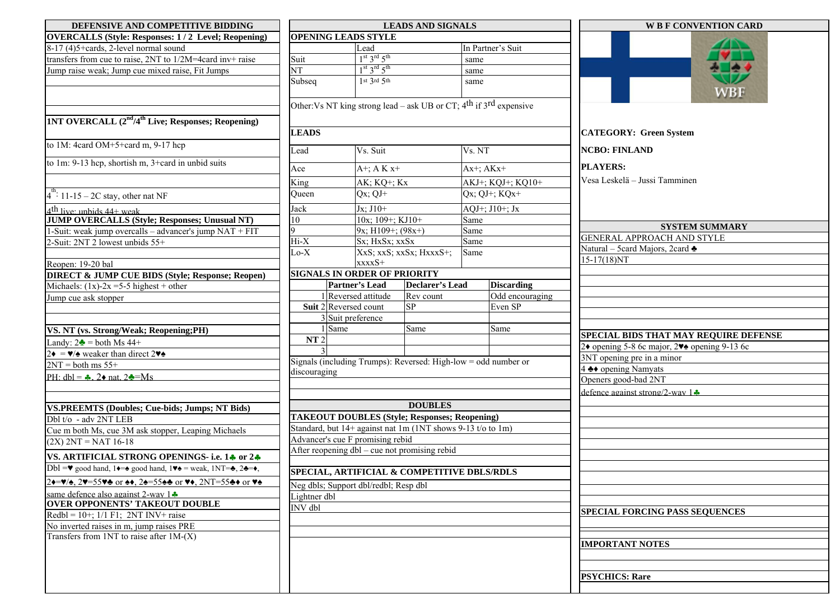| DEFENSIVE AND COMPETITIVE BIDDING                                                                                                                                          | <b>LEADS AND SIGNALS</b>                                       |                                                                        |                         |                  |                   | <b>W B F CONVENTION CARD</b>                                         |  |  |
|----------------------------------------------------------------------------------------------------------------------------------------------------------------------------|----------------------------------------------------------------|------------------------------------------------------------------------|-------------------------|------------------|-------------------|----------------------------------------------------------------------|--|--|
| <b>OVERCALLS (Style: Responses: 1/2 Level; Reopening)</b>                                                                                                                  | <b>OPENING LEADS STYLE</b>                                     |                                                                        |                         |                  |                   |                                                                      |  |  |
| 8-17 (4)5+cards, 2-level normal sound                                                                                                                                      |                                                                | Lead                                                                   |                         |                  | In Partner's Suit |                                                                      |  |  |
| transfers from cue to raise, 2NT to 1/2M=4card inv+ raise                                                                                                                  | Suit                                                           | $1st 3rd 5th$                                                          |                         | same             |                   |                                                                      |  |  |
| Jump raise weak; Jump cue mixed raise, Fit Jumps                                                                                                                           | $\overline{\text{NT}}$                                         | $1st 3rd 5th$                                                          |                         | same             |                   |                                                                      |  |  |
|                                                                                                                                                                            | Subseq                                                         | $1$ st $3$ rd $5$ th                                                   |                         | same             |                   |                                                                      |  |  |
|                                                                                                                                                                            |                                                                |                                                                        |                         |                  |                   | ${\sf WBF}$                                                          |  |  |
|                                                                                                                                                                            |                                                                | Other: Vs NT king strong lead – ask UB or CT; $4th$ if $3rd$ expensive |                         |                  |                   |                                                                      |  |  |
| <b>1NT OVERCALL (2<sup>nd</sup>/4<sup>th</sup> Live; Responses; Reopening)</b>                                                                                             |                                                                |                                                                        |                         |                  |                   |                                                                      |  |  |
|                                                                                                                                                                            | <b>LEADS</b>                                                   |                                                                        |                         |                  |                   | <b>CATEGORY: Green System</b>                                        |  |  |
| to 1M: 4card OM+5+card m, 9-17 hcp                                                                                                                                         |                                                                | Vs. NT                                                                 |                         |                  |                   |                                                                      |  |  |
|                                                                                                                                                                            | Lead                                                           |                                                                        | Vs. Suit                |                  |                   | <b>NCBO: FINLAND</b>                                                 |  |  |
| to 1m: 9-13 hcp, shortish m, 3+card in unbid suits                                                                                                                         | Ace                                                            | $A^+$ ; A K $x^+$                                                      |                         | $Ax^+$ ; $AKx^+$ |                   | <b>PLAYERS:</b>                                                      |  |  |
|                                                                                                                                                                            | King                                                           | AK; KQ+; Kx                                                            |                         |                  | AKJ+; KQJ+; KQ10+ | Vesa Leskelä – Jussi Tamminen                                        |  |  |
| $4^{\text{th}}$ : 11-15 – 2C stay, other nat NF                                                                                                                            | Queen                                                          | $Qx$ ; $QJ+$                                                           |                         | Qx; QJ+; $KQx+$  |                   |                                                                      |  |  |
|                                                                                                                                                                            | Jack                                                           | $Jx$ ; $J10+$                                                          |                         |                  | AQJ+; J10+; Jx    |                                                                      |  |  |
| $4th$ live: unbids $44+$ weak<br><b>JUMP OVERCALLS (Style; Responses; Unusual NT)</b>                                                                                      | 10                                                             | 10x; 109+; KJ10+                                                       |                         | Same             |                   |                                                                      |  |  |
| 1-Suit: weak jump overcalls - advancer's jump NAT + FIT                                                                                                                    |                                                                | $9x$ ; H109+; (98x+)                                                   |                         | Same             |                   | <b>SYSTEM SUMMARY</b>                                                |  |  |
| 2-Suit: 2NT 2 lowest unbids 55+                                                                                                                                            | $Hi-X$                                                         | Sx; HxSx; xxSx                                                         |                         | Same             |                   | <b>GENERAL APPROACH AND STYLE</b>                                    |  |  |
|                                                                                                                                                                            | $Lo-X$                                                         |                                                                        | XxS; xxS; xxSx; HxxxS+; | Same             |                   | Natural - 5card Majors, 2card $\triangle$                            |  |  |
| Reopen: 19-20 bal                                                                                                                                                          |                                                                | xxxxS+                                                                 |                         |                  |                   | $15-17(18)NT$                                                        |  |  |
| <b>DIRECT &amp; JUMP CUE BIDS (Style; Response; Reopen)</b>                                                                                                                |                                                                | <b>SIGNALS IN ORDER OF PRIORITY</b>                                    |                         |                  |                   |                                                                      |  |  |
| Michaels: $(1x)$ -2x =5-5 highest + other                                                                                                                                  |                                                                | <b>Partner's Lead</b>                                                  | <b>Declarer's Lead</b>  |                  | <b>Discarding</b> |                                                                      |  |  |
| Jump cue ask stopper                                                                                                                                                       |                                                                | 1 Reversed attitude                                                    | Rev count               |                  | Odd encouraging   |                                                                      |  |  |
|                                                                                                                                                                            |                                                                | Suit 2 Reversed count                                                  | SP                      |                  | Even SP           |                                                                      |  |  |
|                                                                                                                                                                            |                                                                | 3 Suit preference                                                      |                         |                  |                   |                                                                      |  |  |
| VS. NT (vs. Strong/Weak; Reopening;PH)                                                                                                                                     |                                                                | 1 Same                                                                 | Same                    |                  | Same              | SPECIAL BIDS THAT MAY REQUIRE DEFENSE                                |  |  |
| Landy: $2\clubsuit$ = both Ms 44+                                                                                                                                          | NT <sub>2</sub>                                                |                                                                        |                         |                  |                   | 2 $\bullet$ opening 5-8 6c major, 2 $\bullet\bullet$ opening 9-13 6c |  |  |
| $2\bullet = \mathbf{v}/\mathbf{v}$ weaker than direct 2 $\mathbf{v}$ $\mathbf{v}$                                                                                          |                                                                |                                                                        |                         |                  |                   | 3NT opening pre in a minor                                           |  |  |
| $2NT = both ms 55+$                                                                                                                                                        | Signals (including Trumps): Reversed: High-low = odd number or |                                                                        |                         |                  |                   | 4 < <b>↑</b> opening Namyats                                         |  |  |
| PH: dbl = $\clubsuit$ , 2 $\bullet$ nat. 2 $\clubsuit$ =Ms                                                                                                                 | discouraging                                                   |                                                                        |                         |                  |                   | Openers good-bad 2NT                                                 |  |  |
|                                                                                                                                                                            |                                                                |                                                                        |                         |                  |                   | defence against strong/2-way 1.                                      |  |  |
| <b>VS.PREEMTS (Doubles; Cue-bids; Jumps; NT Bids)</b>                                                                                                                      |                                                                |                                                                        | <b>DOUBLES</b>          |                  |                   |                                                                      |  |  |
| Dbl t/o - adv 2NT LEB                                                                                                                                                      |                                                                | <b>TAKEOUT DOUBLES (Style; Responses; Reopening)</b>                   |                         |                  |                   |                                                                      |  |  |
| Cue m both Ms, cue 3M ask stopper, Leaping Michaels                                                                                                                        |                                                                | Standard, but 14+ against nat 1m (1NT shows 9-13 t/o to 1m)            |                         |                  |                   |                                                                      |  |  |
| $(2X) 2NT = NAT 16-18$                                                                                                                                                     | Advancer's cue F promising rebid                               |                                                                        |                         |                  |                   |                                                                      |  |  |
|                                                                                                                                                                            | After reopening dbl - cue not promising rebid                  |                                                                        |                         |                  |                   |                                                                      |  |  |
| VS. ARTIFICIAL STRONG OPENINGS- i.e. 14 or 24                                                                                                                              |                                                                |                                                                        |                         |                  |                   |                                                                      |  |  |
| Dbl = $\blacktriangledown$ good hand, 1 $\blacktriangledown$ good hand, 1 $\blacktriangledown$ = weak, 1NT= $\blacktriangle$ , 2 $\blacktriangle$ = $\blacktriangledown$ , |                                                                | SPECIAL, ARTIFICIAL & COMPETITIVE DBLS/RDLS                            |                         |                  |                   |                                                                      |  |  |
| 2+= $\sqrt{2}$ , 2 $\sqrt{55}$ $\sqrt{2}$ or $\sqrt{2}$ , 2 $\sqrt{2}$ =55 $\sqrt{2}$ or $\sqrt{2}$ , 2NT=55 $\sqrt{2}$ or $\sqrt{2}$                                      |                                                                | Neg dbls; Support dbl/redbl; Resp dbl                                  |                         |                  |                   |                                                                      |  |  |
| same defence also against 2-way 1.                                                                                                                                         | Lightner dbl                                                   |                                                                        |                         |                  |                   |                                                                      |  |  |
| <b>OVER OPPONENTS' TAKEOUT DOUBLE</b>                                                                                                                                      | INV dbl                                                        |                                                                        |                         |                  |                   | SPECIAL FORCING PASS SEQUENCES                                       |  |  |
| Redbl = $10+$ ; $1/1$ F1; $2NT$ INV+ raise<br>No inverted raises in m, jump raises PRE                                                                                     |                                                                |                                                                        |                         |                  |                   |                                                                      |  |  |
| Transfers from 1NT to raise after $1M-(X)$                                                                                                                                 |                                                                |                                                                        |                         |                  |                   |                                                                      |  |  |
|                                                                                                                                                                            |                                                                |                                                                        |                         |                  |                   | <b>IMPORTANT NOTES</b>                                               |  |  |
|                                                                                                                                                                            |                                                                |                                                                        |                         |                  |                   |                                                                      |  |  |
|                                                                                                                                                                            |                                                                |                                                                        |                         |                  |                   |                                                                      |  |  |
|                                                                                                                                                                            |                                                                |                                                                        |                         |                  |                   | <b>PSYCHICS: Rare</b>                                                |  |  |
|                                                                                                                                                                            |                                                                |                                                                        |                         |                  |                   |                                                                      |  |  |